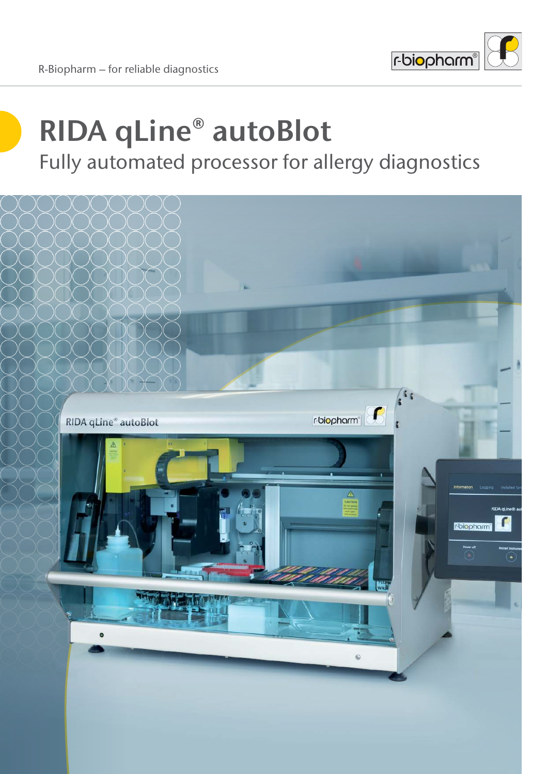

# **RIDA qLine® autoBlot** Fully automated processor for allergy diagnostics

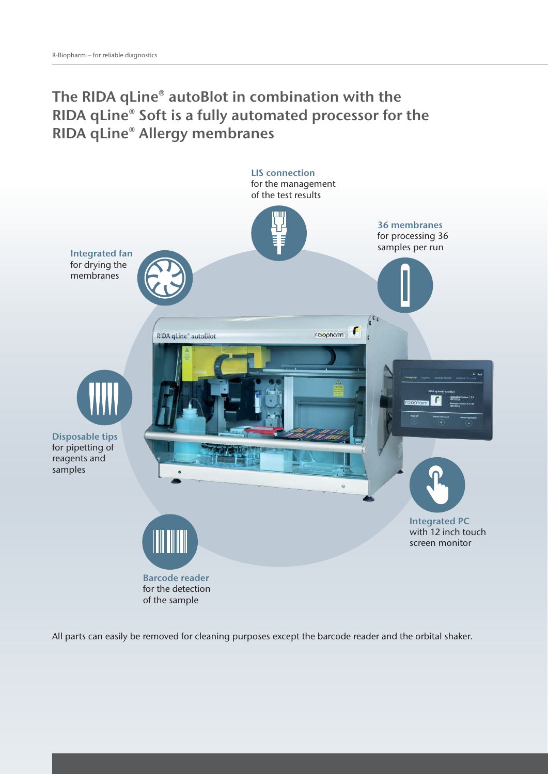# **The RIDA qLine® autoBlot in combination with the RIDA qLine® Soft is a fully automated processor for the RIDA qLine® Allergy membranes**



All parts can easily be removed for cleaning purposes except the barcode reader and the orbital shaker.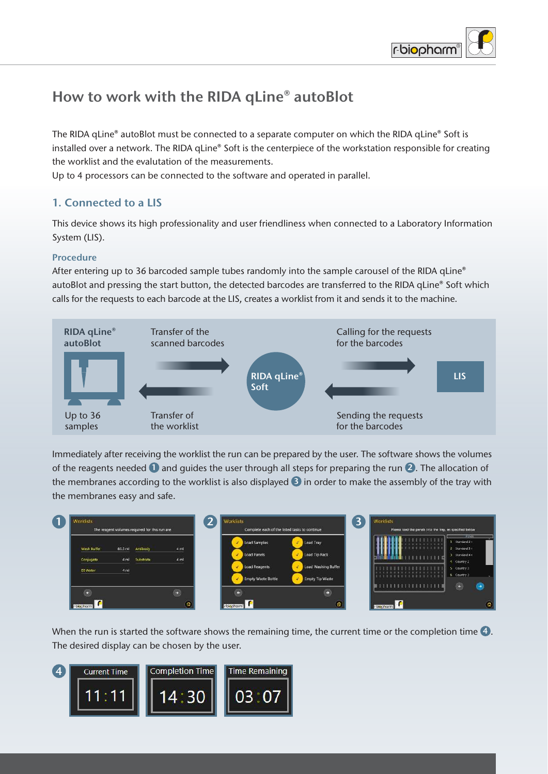

# **How to work with the RIDA qLine® autoBlot**

The RIDA qLine**®** autoBlot must be connected to a separate computer on which the RIDA qLine**®** Soft is installed over a network. The RIDA qLine**®** Soft is the centerpiece of the workstation responsible for creating the worklist and the evalutation of the measurements.

Up to 4 processors can be connected to the software and operated in parallel.

## **1. Connected to a LIS**

This device shows its high professionality and user friendliness when connected to a Laboratory Information System (LIS).

#### **Procedure**

After entering up to 36 barcoded sample tubes randomly into the sample carousel of the RIDA qLine® autoBlot and pressing the start button, the detected barcodes are transferred to the RIDA qLine® Soft which calls for the requests to each barcode at the LIS, creates a worklist from it and sends it to the machine.



Immediately after receiving the worklist the run can be prepared by the user. The software shows the volumes of the reagents needed **1** and guides the user through all steps for preparing the run **2** . The allocation of the membranes according to the worklist is also displayed **3** in order to make the assembly of the tray with the membranes easy and safe.

|                               |                 |           |               |                           |                        | Pariete                            |
|-------------------------------|-----------------|-----------|---------------|---------------------------|------------------------|------------------------------------|
| Wash Buffer                   | 85.5 ml         | Antibody  | $4$ ml        | <b>Load Samples</b>       | Load Tray              | 1 Standard 2+<br>$2$ Standard $3+$ |
| Conjugate                     | 4ml             | Substrate | 4ml           | <b>Load Panels</b>        | Load Tip Rack          | $3$ Standard $4+$<br>4 Country 2   |
| DI Water                      | 4 <sub>ml</sub> |           |               | <b>Load Reagents</b>      | Load Washing Buffer    | 5 Country J                        |
|                               |                 |           |               | <b>Empty Waste Bottle</b> | <b>Empty Tip Waste</b> | 6 Country 3                        |
| $\left\vert \cdot\right\vert$ |                 |           | $\rightarrow$ |                           | $\rightarrow$          | e.                                 |

When the run is started the software shows the remaining time, the current time or the completion time  $\bullet$ . The desired display can be chosen by the user.